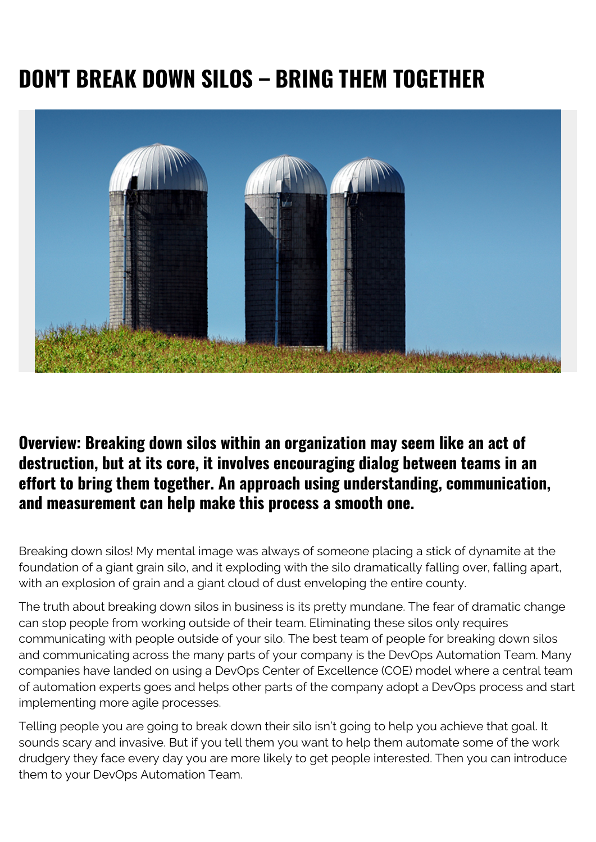## **DON'T BREAK DOWN SILOS – BRING THEM TOGETHER**



## **Overview: Breaking down silos within an organization may seem like an act of destruction, but at its core, it involves encouraging dialog between teams in an effort to bring them together. An approach using understanding, communication, and measurement can help make this process a smooth one.**

Breaking down silos! My mental image was always of someone placing a stick of dynamite at the foundation of a giant grain silo, and it exploding with the silo dramatically falling over, falling apart, with an explosion of grain and a giant cloud of dust enveloping the entire county.

The truth about breaking down silos in business is its pretty mundane. The fear of dramatic change can stop people from working outside of their team. Eliminating these silos only requires communicating with people outside of your silo. The best team of people for breaking down silos and communicating across the many parts of your company is the DevOps Automation Team. Many companies have landed on using a DevOps Center of Excellence (COE) model where a central team of automation experts goes and helps other parts of the company adopt a DevOps process and start implementing more agile processes.

Telling people you are going to break down their silo isn't going to help you achieve that goal. It sounds scary and invasive. But if you tell them you want to help them automate some of the work drudgery they face every day you are more likely to get people interested. Then you can introduce them to your DevOps Automation Team.